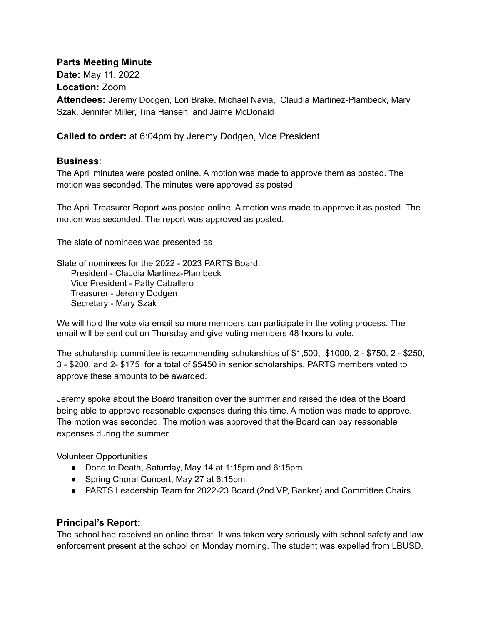## **Parts Meeting Minute**

**Date:** May 11, 2022 **Location:** Zoom **Attendees:** Jeremy Dodgen, Lori Brake, Michael Navia, Claudia Martinez-Plambeck, Mary Szak, Jennifer Miller, Tina Hansen, and Jaime McDonald

**Called to order:** at 6:04pm by Jeremy Dodgen, Vice President

## **Business**:

The April minutes were posted online. A motion was made to approve them as posted. The motion was seconded. The minutes were approved as posted.

The April Treasurer Report was posted online. A motion was made to approve it as posted. The motion was seconded. The report was approved as posted.

The slate of nominees was presented as

Slate of nominees for the 2022 - 2023 PARTS Board: President - Claudia Martinez-Plambeck Vice President - Patty Caballero Treasurer - Jeremy Dodgen Secretary - Mary Szak

We will hold the vote via email so more members can participate in the voting process. The email will be sent out on Thursday and give voting members 48 hours to vote.

The scholarship committee is recommending scholarships of \$1,500, \$1000, 2 - \$750, 2 - \$250, 3 - \$200, and 2- \$175 for a total of \$5450 in senior scholarships. PARTS members voted to approve these amounts to be awarded.

Jeremy spoke about the Board transition over the summer and raised the idea of the Board being able to approve reasonable expenses during this time. A motion was made to approve. The motion was seconded. The motion was approved that the Board can pay reasonable expenses during the summer.

Volunteer Opportunities

- Done to Death, Saturday, May 14 at 1:15pm and 6:15pm
- Spring Choral Concert, May 27 at 6:15pm
- PARTS Leadership Team for 2022-23 Board (2nd VP, Banker) and Committee Chairs

## **Principal's Report:**

The school had received an online threat. It was taken very seriously with school safety and law enforcement present at the school on Monday morning. The student was expelled from LBUSD.